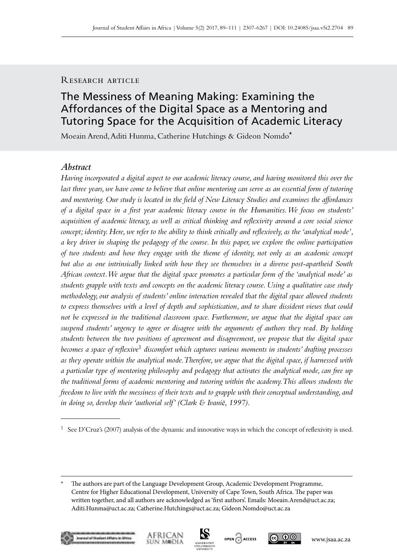# RESEARCH ARTICLE

# The Messiness of Meaning Making: Examining the Affordances of the Digital Space as a Mentoring and Tutoring Space for the Acquisition of Academic Literacy

Moeain Arend, Aditi Hunma, Catherine Hutchings & Gideon Nomdo\*

# *Abstract*

*Having incorporated a digital aspect to our academic literacy course, and having monitored this over the last three years, we have come to believe that online mentoring can serve as an essential form of tutoring and mentoring. Our study is located in the field of New Literacy Studies and examines the affordances of a digital space in a first year academic literacy course in the Humanities. We focus on students' acquisition of academic literacy, as well as critical thinking and reflexivity around a core social science concept; identity. Here, we refer to the ability to think critically and reflexively, as the 'analytical mode', a key driver in shaping the pedagogy of the course. In this paper, we explore the online participation of two students and how they engage with the theme of identity, not only as an academic concept but also as one intrinsically linked with how they see themselves in a diverse post-apartheid South African context. We argue that the digital space promotes a particular form of the 'analytical mode' as students grapple with texts and concepts on the academic literacy course. Using a qualitative case study methodology, our analysis of students' online interaction revealed that the digital space allowed students to express themselves with a level of depth and sophistication, and to share dissident views that could not be expressed in the traditional classroom space. Furthermore, we argue that the digital space can suspend students' urgency to agree or disagree with the arguments of authors they read. By holding students between the two positions of agreement and disagreement, we propose that the digital space becomes a space of reflexive*1 *discomfort which captures various moments in students' drafting processes as they operate within the analytical mode. Therefore, we argue that the digital space, if harnessed with a particular type of mentoring philosophy and pedagogy that activates the analytical mode, can free up the traditional forms of academic mentoring and tutoring within the academy. This allows students the freedom to live with the messiness of their texts and to grapple with their conceptual understanding, and in doing so, develop their 'authorial self' (Clark & Ivani*č*, 1997).* 







<sup>1</sup> See D'Cruz's (2007) analysis of the dynamic and innovative ways in which the concept of reflexivity is used.

<sup>\*</sup> The authors are part of the Language Development Group, Academic Development Programme, Centre for Higher Educational Development, University of Cape Town, South Africa. The paper was written together, and all authors are acknowledged as 'first authors'. Emails: [Moeain.Arend@uct.ac.za](mailto:Moeain.Arend%40uct.ac.za?subject=); [Aditi.Hunma@uct.ac.za](mailto:Aditi.Hunma%40uct.ac.za?subject=); [Catherine.Hutchings@uct.ac.za;](mailto:Catherine.Hutchings%40uct.ac.za?subject=) [Gideon.Nomdo@uct.ac.za](mailto:Gideon.Nomdo%40uct.ac.za?subject=)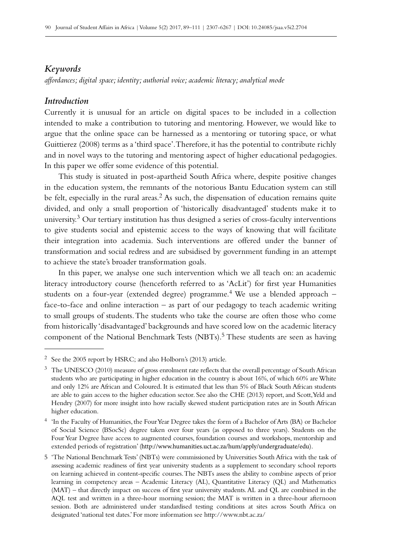# *Keywords*

*affordances; digital space; identity; authorial voice; academic literacy; analytical mode*

# *Introduction*

Currently it is unusual for an article on digital spaces to be included in a collection intended to make a contribution to tutoring and mentoring. However, we would like to argue that the online space can be harnessed as a mentoring or tutoring space, or what Guittierez (2008) terms as a 'third space'. Therefore, it has the potential to contribute richly and in novel ways to the tutoring and mentoring aspect of higher educational pedagogies. In this paper we offer some evidence of this potential.

This study is situated in post-apartheid South Africa where, despite positive changes in the education system, the remnants of the notorious Bantu Education system can still be felt, especially in the rural areas.<sup>2</sup> As such, the dispensation of education remains quite divided, and only a small proportion of 'historically disadvantaged' students make it to university.3 Our tertiary institution has thus designed a series of cross-faculty interventions to give students social and epistemic access to the ways of knowing that will facilitate their integration into academia. Such interventions are offered under the banner of transformation and social redress and are subsidised by government funding in an attempt to achieve the state's broader transformation goals.

In this paper, we analyse one such intervention which we all teach on: an academic literacy introductory course (henceforth referred to as 'AcLit') for first year Humanities students on a four-year (extended degree) programme.<sup>4</sup> We use a blended approach  $$ face-to-face and online interaction – as part of our pedagogy to teach academic writing to small groups of students. The students who take the course are often those who come from historically 'disadvantaged' backgrounds and have scored low on the academic literacy component of the National Benchmark Tests (NBTs).5 These students are seen as having

<sup>2</sup> See the 2005 report by HSRC; and also Holborn's (2013) article.

<sup>&</sup>lt;sup>3</sup> The UNESCO (2010) measure of gross enrolment rate reflects that the overall percentage of South African students who are participating in higher education in the country is about 16%, of which 60% are White and only 12% are African and Coloured. It is estimated that less than 5% of Black South African students are able to gain access to the higher education sector. See also the CHE (2013) report, and Scott, Yeld and Hendry (2007) for more insight into how racially skewed student participation rates are in South African higher education.

<sup>4</sup> 'In the Faculty of Humanities, the Four Year Degree takes the form of a Bachelor of Arts (BA) or Bachelor of Social Science (BSocSc) degree taken over four years (as opposed to three years). Students on the Four Year Degree have access to augmented courses, foundation courses and workshops, mentorship and extended periods of registration' (http://www.humanities.uct.ac.za/hum/apply/undergraduate/edu).

<sup>5</sup> 'The National Benchmark Tests' (NBTs) were commissioned by Universities South Africa with the task of assessing academic readiness of first year university students as a supplement to secondary school reports on learning achieved in content-specific courses. The NBTs assess the ability to combine aspects of prior learning in competency areas – Academic Literacy (AL), Quantitative Literacy (QL) and Mathematics (MAT) – that directly impact on success of first year university students. AL and QL are combined in the AQL test and written in a three-hour morning session; the MAT is written in a three-hour afternoon session. Both are administered under standardised testing conditions at sites across South Africa on designated 'national test dates.' For more information see <http://www.nbt.ac.za/>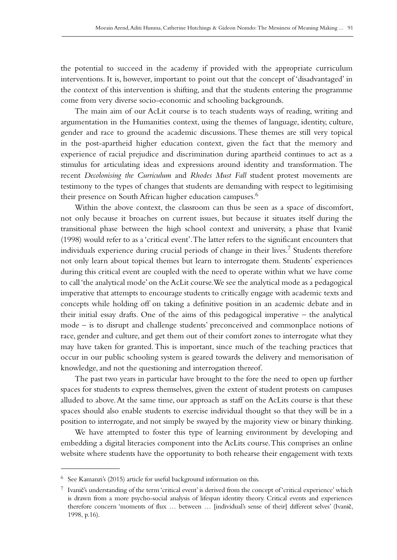the potential to succeed in the academy if provided with the appropriate curriculum interventions. It is, however, important to point out that the concept of 'disadvantaged' in the context of this intervention is shifting, and that the students entering the programme come from very diverse socio-economic and schooling backgrounds.

The main aim of our AcLit course is to teach students ways of reading, writing and argumentation in the Humanities context, using the themes of language, identity, culture, gender and race to ground the academic discussions. These themes are still very topical in the post-apartheid higher education context, given the fact that the memory and experience of racial prejudice and discrimination during apartheid continues to act as a stimulus for articulating ideas and expressions around identity and transformation. The recent *Decolonising the Curriculum* and *Rhodes Must Fall* student protest movements are testimony to the types of changes that students are demanding with respect to legitimising their presence on South African higher education campuses.<sup>6</sup>

Within the above context, the classroom can thus be seen as a space of discomfort, not only because it broaches on current issues, but because it situates itself during the transitional phase between the high school context and university, a phase that Ivanič (1998) would refer to as a 'critical event'. The latter refers to the significant encounters that individuals experience during crucial periods of change in their lives.<sup>7</sup> Students therefore not only learn about topical themes but learn to interrogate them. Students' experiences during this critical event are coupled with the need to operate within what we have come to call 'the analytical mode' on the AcLit course. We see the analytical mode as a pedagogical imperative that attempts to encourage students to critically engage with academic texts and concepts while holding off on taking a definitive position in an academic debate and in their initial essay drafts. One of the aims of this pedagogical imperative – the analytical mode – is to disrupt and challenge students' preconceived and commonplace notions of race, gender and culture, and get them out of their comfort zones to interrogate what they may have taken for granted. This is important, since much of the teaching practices that occur in our public schooling system is geared towards the delivery and memorisation of knowledge, and not the questioning and interrogation thereof.

The past two years in particular have brought to the fore the need to open up further spaces for students to express themselves, given the extent of student protests on campuses alluded to above. At the same time, our approach as staff on the AcLits course is that these spaces should also enable students to exercise individual thought so that they will be in a position to interrogate, and not simply be swayed by the majority view or binary thinking.

We have attempted to foster this type of learning environment by developing and embedding a digital literacies component into the AcLits course. This comprises an online website where students have the opportunity to both rehearse their engagement with texts

<sup>6</sup> See Kamanzi's (2015) article for useful background information on this.

<sup>7</sup> Ivanič's understanding of the term 'critical event' is derived from the concept of 'critical experience' which is drawn from a more psycho-social analysis of lifespan identity theory. Critical events and experiences therefore concern 'moments of flux … between … [individual's sense of their] different selves' (Ivanič, 1998, p.16).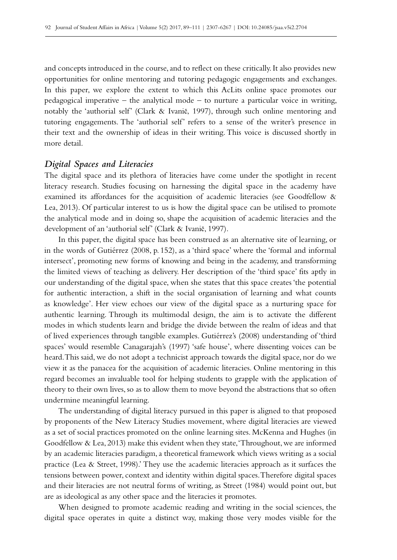and concepts introduced in the course, and to reflect on these critically. It also provides new opportunities for online mentoring and tutoring pedagogic engagements and exchanges. In this paper, we explore the extent to which this AcLits online space promotes our pedagogical imperative – the analytical mode – to nurture a particular voice in writing, notably the 'authorial self' (Clark & Ivanič, 1997), through such online mentoring and tutoring engagements. The 'authorial self' refers to a sense of the writer's presence in their text and the ownership of ideas in their writing. This voice is discussed shortly in more detail.

## *Digital Spaces and Literacies*

The digital space and its plethora of literacies have come under the spotlight in recent literacy research. Studies focusing on harnessing the digital space in the academy have examined its affordances for the acquisition of academic literacies (see Goodfellow & Lea, 2013). Of particular interest to us is how the digital space can be utilised to promote the analytical mode and in doing so, shape the acquisition of academic literacies and the development of an 'authorial self' (Clark & Ivanič, 1997).

In this paper, the digital space has been construed as an alternative site of learning, or in the words of Gutiérrez (2008, p. 152), as a 'third space' where the 'formal and informal intersect', promoting new forms of knowing and being in the academy, and transforming the limited views of teaching as delivery. Her description of the 'third space' fits aptly in our understanding of the digital space, when she states that this space creates 'the potential for authentic interaction, a shift in the social organisation of learning and what counts as knowledge'. Her view echoes our view of the digital space as a nurturing space for authentic learning. Through its multimodal design, the aim is to activate the different modes in which students learn and bridge the divide between the realm of ideas and that of lived experiences through tangible examples. Gutiérrez's (2008) understanding of 'third spaces' would resemble Canagarajah's (1997) 'safe house', where dissenting voices can be heard. This said, we do not adopt a technicist approach towards the digital space, nor do we view it as the panacea for the acquisition of academic literacies. Online mentoring in this regard becomes an invaluable tool for helping students to grapple with the application of theory to their own lives, so as to allow them to move beyond the abstractions that so often undermine meaningful learning.

The understanding of digital literacy pursued in this paper is aligned to that proposed by proponents of the New Literacy Studies movement, where digital literacies are viewed as a set of social practices promoted on the online learning sites. McKenna and Hughes (in Goodfellow & Lea, 2013) make this evident when they state, 'Throughout, we are informed by an academic literacies paradigm, a theoretical framework which views writing as a social practice (Lea & Street, 1998).' They use the academic literacies approach as it surfaces the tensions between power, context and identity within digital spaces. Therefore digital spaces and their literacies are not neutral forms of writing, as Street (1984) would point out, but are as ideological as any other space and the literacies it promotes.

When designed to promote academic reading and writing in the social sciences, the digital space operates in quite a distinct way, making those very modes visible for the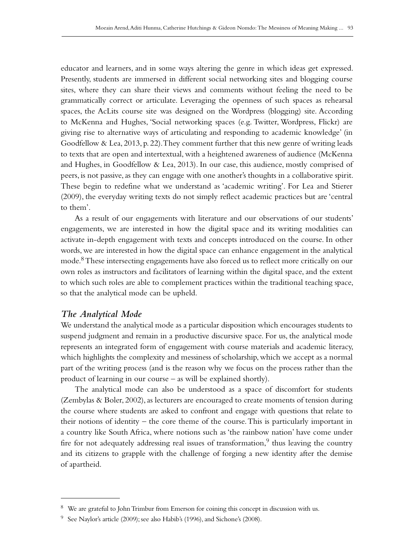educator and learners, and in some ways altering the genre in which ideas get expressed. Presently, students are immersed in different social networking sites and blogging course sites, where they can share their views and comments without feeling the need to be grammatically correct or articulate. Leveraging the openness of such spaces as rehearsal spaces, the AcLits course site was designed on the Wordpress (blogging) site. According to McKenna and Hughes, 'Social networking spaces (e.g. Twitter, Wordpress, Flickr) are giving rise to alternative ways of articulating and responding to academic knowledge' (in Goodfellow & Lea, 2013, p. 22). They comment further that this new genre of writing leads to texts that are open and intertextual, with a heightened awareness of audience (McKenna and Hughes, in Goodfellow & Lea, 2013). In our case, this audience, mostly comprised of peers, is not passive, as they can engage with one another's thoughts in a collaborative spirit. These begin to redefine what we understand as 'academic writing'. For Lea and Stierer (2009), the everyday writing texts do not simply reflect academic practices but are 'central to them'.

As a result of our engagements with literature and our observations of our students' engagements, we are interested in how the digital space and its writing modalities can activate in-depth engagement with texts and concepts introduced on the course. In other words, we are interested in how the digital space can enhance engagement in the analytical mode.<sup>8</sup> These intersecting engagements have also forced us to reflect more critically on our own roles as instructors and facilitators of learning within the digital space, and the extent to which such roles are able to complement practices within the traditional teaching space, so that the analytical mode can be upheld.

# *The Analytical Mode*

We understand the analytical mode as a particular disposition which encourages students to suspend judgment and remain in a productive discursive space. For us, the analytical mode represents an integrated form of engagement with course materials and academic literacy, which highlights the complexity and messiness of scholarship, which we accept as a normal part of the writing process (and is the reason why we focus on the process rather than the product of learning in our course – as will be explained shortly).

The analytical mode can also be understood as a space of discomfort for students (Zembylas & Boler, 2002), as lecturers are encouraged to create moments of tension during the course where students are asked to confront and engage with questions that relate to their notions of identity – the core theme of the course. This is particularly important in a country like South Africa, where notions such as 'the rainbow nation' have come under fire for not adequately addressing real issues of transformation,  $9$  thus leaving the country and its citizens to grapple with the challenge of forging a new identity after the demise of apartheid.

<sup>8</sup> We are grateful to John Trimbur from Emerson for coining this concept in discussion with us.

<sup>&</sup>lt;sup>9</sup> See Naylor's article (2009); see also Habib's (1996), and Sichone's (2008).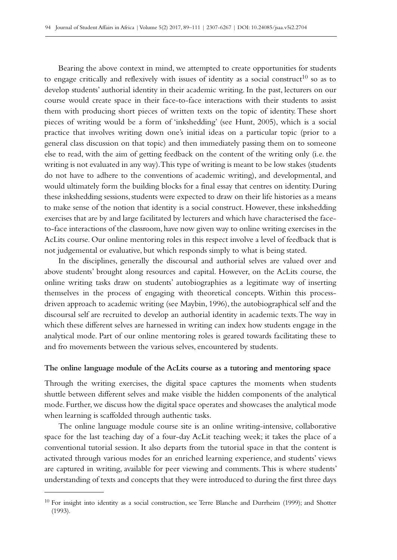Bearing the above context in mind, we attempted to create opportunities for students to engage critically and reflexively with issues of identity as a social construct<sup>10</sup> so as to develop students' authorial identity in their academic writing. In the past, lecturers on our course would create space in their face-to-face interactions with their students to assist them with producing short pieces of written texts on the topic of identity. These short pieces of writing would be a form of 'inkshedding' (see Hunt, 2005), which is a social practice that involves writing down one's initial ideas on a particular topic (prior to a general class discussion on that topic) and then immediately passing them on to someone else to read, with the aim of getting feedback on the content of the writing only (i.e. the writing is not evaluated in any way). This type of writing is meant to be low stakes (students do not have to adhere to the conventions of academic writing), and developmental, and would ultimately form the building blocks for a final essay that centres on identity. During these inkshedding sessions, students were expected to draw on their life histories as a means to make sense of the notion that identity is a social construct. However, these inkshedding exercises that are by and large facilitated by lecturers and which have characterised the faceto-face interactions of the classroom, have now given way to online writing exercises in the AcLits course. Our online mentoring roles in this respect involve a level of feedback that is not judgemental or evaluative, but which responds simply to what is being stated.

In the disciplines, generally the discoursal and authorial selves are valued over and above students' brought along resources and capital. However, on the AcLits course, the online writing tasks draw on students' autobiographies as a legitimate way of inserting themselves in the process of engaging with theoretical concepts. Within this processdriven approach to academic writing (see Maybin, 1996), the autobiographical self and the discoursal self are recruited to develop an authorial identity in academic texts. The way in which these different selves are harnessed in writing can index how students engage in the analytical mode. Part of our online mentoring roles is geared towards facilitating these to and fro movements between the various selves, encountered by students.

#### **The online language module of the AcLits course as a tutoring and mentoring space**

Through the writing exercises, the digital space captures the moments when students shuttle between different selves and make visible the hidden components of the analytical mode. Further, we discuss how the digital space operates and showcases the analytical mode when learning is scaffolded through authentic tasks.

The online language module course site is an online writing-intensive, collaborative space for the last teaching day of a four-day AcLit teaching week; it takes the place of a conventional tutorial session. It also departs from the tutorial space in that the content is activated through various modes for an enriched learning experience, and students' views are captured in writing, available for peer viewing and comments. This is where students' understanding of texts and concepts that they were introduced to during the first three days

<sup>&</sup>lt;sup>10</sup> For insight into identity as a social construction, see Terre Blanche and Durrheim (1999); and Shotter (1993).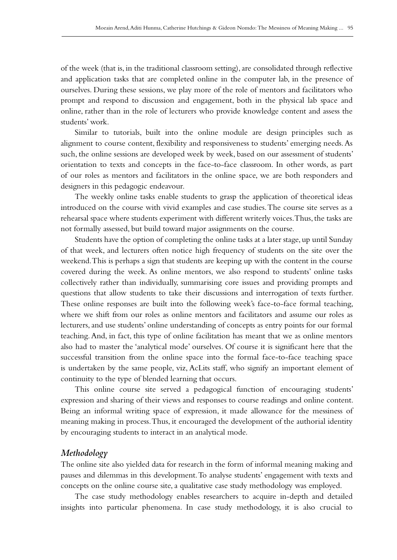of the week (that is, in the traditional classroom setting), are consolidated through reflective and application tasks that are completed online in the computer lab, in the presence of ourselves. During these sessions, we play more of the role of mentors and facilitators who prompt and respond to discussion and engagement, both in the physical lab space and online, rather than in the role of lecturers who provide knowledge content and assess the students' work.

Similar to tutorials, built into the online module are design principles such as alignment to course content, flexibility and responsiveness to students' emerging needs. As such, the online sessions are developed week by week, based on our assessment of students' orientation to texts and concepts in the face-to-face classroom. In other words, as part of our roles as mentors and facilitators in the online space, we are both responders and designers in this pedagogic endeavour.

The weekly online tasks enable students to grasp the application of theoretical ideas introduced on the course with vivid examples and case studies. The course site serves as a rehearsal space where students experiment with different writerly voices. Thus, the tasks are not formally assessed, but build toward major assignments on the course.

Students have the option of completing the online tasks at a later stage, up until Sunday of that week, and lecturers often notice high frequency of students on the site over the weekend. This is perhaps a sign that students are keeping up with the content in the course covered during the week. As online mentors, we also respond to students' online tasks collectively rather than individually, summarising core issues and providing prompts and questions that allow students to take their discussions and interrogation of texts further. These online responses are built into the following week's face-to-face formal teaching, where we shift from our roles as online mentors and facilitators and assume our roles as lecturers, and use students' online understanding of concepts as entry points for our formal teaching. And, in fact, this type of online facilitation has meant that we as online mentors also had to master the 'analytical mode' ourselves. Of course it is significant here that the successful transition from the online space into the formal face-to-face teaching space is undertaken by the same people, viz, AcLits staff, who signify an important element of continuity to the type of blended learning that occurs.

This online course site served a pedagogical function of encouraging students' expression and sharing of their views and responses to course readings and online content. Being an informal writing space of expression, it made allowance for the messiness of meaning making in process. Thus, it encouraged the development of the authorial identity by encouraging students to interact in an analytical mode.

# *Methodology*

The online site also yielded data for research in the form of informal meaning making and pauses and dilemmas in this development. To analyse students' engagement with texts and concepts on the online course site, a qualitative case study methodology was employed.

The case study methodology enables researchers to acquire in-depth and detailed insights into particular phenomena. In case study methodology, it is also crucial to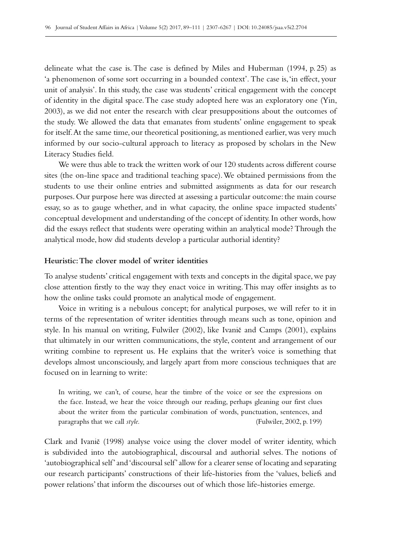delineate what the case is. The case is defined by Miles and Huberman (1994, p. 25) as 'a phenomenon of some sort occurring in a bounded context'. The case is, 'in effect, your unit of analysis'. In this study, the case was students' critical engagement with the concept of identity in the digital space. The case study adopted here was an exploratory one (Yin, 2003), as we did not enter the research with clear presuppositions about the outcomes of the study. We allowed the data that emanates from students' online engagement to speak for itself. At the same time, our theoretical positioning, as mentioned earlier, was very much informed by our socio-cultural approach to literacy as proposed by scholars in the New Literacy Studies field.

We were thus able to track the written work of our 120 students across different course sites (the on-line space and traditional teaching space). We obtained permissions from the students to use their online entries and submitted assignments as data for our research purposes. Our purpose here was directed at assessing a particular outcome: the main course essay, so as to gauge whether, and in what capacity, the online space impacted students' conceptual development and understanding of the concept of identity. In other words, how did the essays reflect that students were operating within an analytical mode? Through the analytical mode, how did students develop a particular authorial identity?

# **Heuristic: The clover model of writer identities**

To analyse students' critical engagement with texts and concepts in the digital space, we pay close attention firstly to the way they enact voice in writing. This may offer insights as to how the online tasks could promote an analytical mode of engagement.

Voice in writing is a nebulous concept; for analytical purposes, we will refer to it in terms of the representation of writer identities through means such as tone, opinion and style. In his manual on writing, Fulwiler (2002), like Ivanič and Camps (2001), explains that ultimately in our written communications, the style, content and arrangement of our writing combine to represent us. He explains that the writer's voice is something that develops almost unconsciously, and largely apart from more conscious techniques that are focused on in learning to write:

In writing, we can't, of course, hear the timbre of the voice or see the expressions on the face. Instead, we hear the voice through our reading, perhaps gleaning our first clues about the writer from the particular combination of words, punctuation, sentences, and paragraphs that we call *style.* (Fulwiler, 2002, p. 199)

Clark and Ivanič (1998) analyse voice using the clover model of writer identity, which is subdivided into the autobiographical, discoursal and authorial selves. The notions of 'autobiographical self' and 'discoursal self' allow for a clearer sense of locating and separating our research participants' constructions of their life-histories from the 'values, beliefs and power relations' that inform the discourses out of which those life-histories emerge.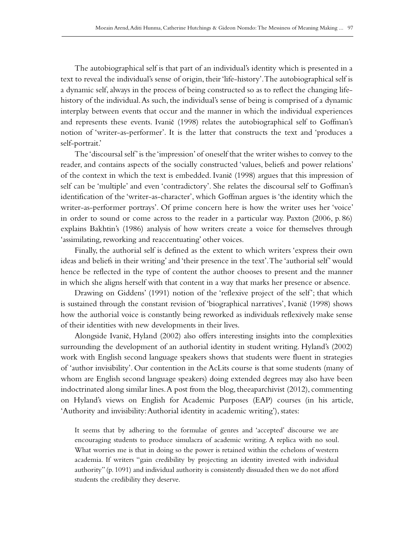The autobiographical self is that part of an individual's identity which is presented in a text to reveal the individual's sense of origin, their 'life-history'. The autobiographical self is a dynamic self, always in the process of being constructed so as to reflect the changing lifehistory of the individual. As such, the individual's sense of being is comprised of a dynamic interplay between events that occur and the manner in which the individual experiences and represents these events. Ivanič (1998) relates the autobiographical self to Goffman's notion of 'writer-as-performer'. It is the latter that constructs the text and 'produces a self-portrait.'

The 'discoursal self' is the 'impression' of oneself that the writer wishes to convey to the reader, and contains aspects of the socially constructed 'values, beliefs and power relations' of the context in which the text is embedded. Ivanič (1998) argues that this impression of self can be 'multiple' and even 'contradictory'. She relates the discoursal self to Goffman's identification of the 'writer-as-character', which Goffman argues is 'the identity which the writer-as-performer portrays'. Of prime concern here is how the writer uses her 'voice' in order to sound or come across to the reader in a particular way. Paxton (2006, p. 86) explains Bakhtin's (1986) analysis of how writers create a voice for themselves through 'assimilating, reworking and reaccentuating' other voices.

Finally, the authorial self is defined as the extent to which writers 'express their own ideas and beliefs in their writing' and 'their presence in the text'. The 'authorial self' would hence be reflected in the type of content the author chooses to present and the manner in which she aligns herself with that content in a way that marks her presence or absence.

Drawing on Giddens' (1991) notion of the 'reflexive project of the self'; that which is sustained through the constant revision of 'biographical narratives', Ivanič (1998) shows how the authorial voice is constantly being reworked as individuals reflexively make sense of their identities with new developments in their lives.

Alongside Ivanič, Hyland (2002) also offers interesting insights into the complexities surrounding the development of an authorial identity in student writing. Hyland's (2002) work with English second language speakers shows that students were fluent in strategies of 'author invisibility'. Our contention in the AcLits course is that some students (many of whom are English second language speakers) doing extended degrees may also have been indoctrinated along similar lines. A post from the blog, theeaparchivist (2012), commenting on Hyland's views on English for Academic Purposes (EAP) courses (in his article, 'Authority and invisibility: Authorial identity in academic writing'), states:

It seems that by adhering to the formulae of genres and 'accepted' discourse we are encouraging students to produce simulacra of academic writing. A replica with no soul. What worries me is that in doing so the power is retained within the echelons of western academia. If writers "gain credibility by projecting an identity invested with individual authority" (p. 1091) and individual authority is consistently dissuaded then we do not afford students the credibility they deserve.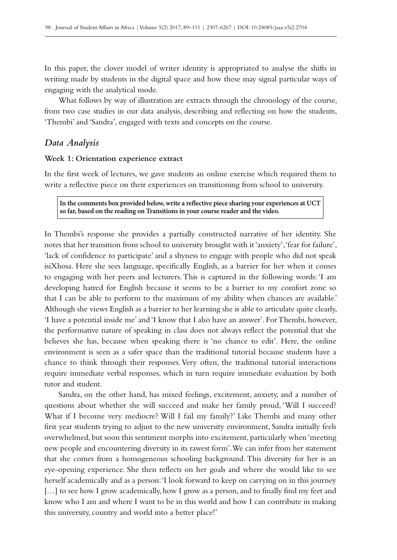In this paper, the clover model of writer identity is appropriated to analyse the shifts in writing made by students in the digital space and how these may signal particular ways of engaging with the analytical mode.

What follows by way of illustration are extracts through the chronology of the course, from two case studies in our data analysis, describing and reflecting on how the students, 'Thembi' and 'Sandra', engaged with texts and concepts on the course.

# *Data Analysis*

### **Week 1: Orientation experience extract**

In the first week of lectures, we gave students an online exercise which required them to write a reflective piece on their experiences on transitioning from school to university.

**In the comments box provided below, write a reflective piece sharing your experiences at UCT so far, based on the reading on Transitions in your course reader and the video.**

In Thembi's response she provides a partially constructed narrative of her identity. She notes that her transition from school to university brought with it 'anxiety', 'fear for failure', 'lack of confidence to participate' and a shyness to engage with people who did not speak isiXhosa. Here she sees language, specifically English, as a barrier for her when it comes to engaging with her peers and lecturers. This is captured in the following words: 'I am developing hatred for English because it seems to be a barrier to my comfort zone so that I can be able to perform to the maximum of my ability when chances are available.' Although she views English as a barrier to her learning she is able to articulate quite clearly, 'I have a potential inside me' and 'I know that I also have an answer'. For Thembi, however, the performative nature of speaking in class does not always reflect the potential that she believes she has, because when speaking there is 'no chance to edit'. Here, the online environment is seen as a safer space than the traditional tutorial because students have a chance to think through their responses. Very often, the traditional tutorial interactions require immediate verbal responses, which in turn require immediate evaluation by both tutor and student.

Sandra, on the other hand, has mixed feelings, excitement, anxiety, and a number of questions about whether she will succeed and make her family proud, 'Will I succeed? What if I become very mediocre? Will I fail my family?' Like Thembi and many other first year students trying to adjust to the new university environment, Sandra initially feels overwhelmed, but soon this sentiment morphs into excitement, particularly when 'meeting new people and encountering diversity in its rawest form'. We can infer from her statement that she comes from a homogeneous schooling background. This diversity for her is an eye-opening experience. She then reflects on her goals and where she would like to see herself academically and as a person: 'I look forward to keep on carrying on in this journey [...] to see how I grow academically, how I grow as a person, and to finally find my feet and know who I am and where I want to be in this world and how I can contribute in making this university, country and world into a better place!'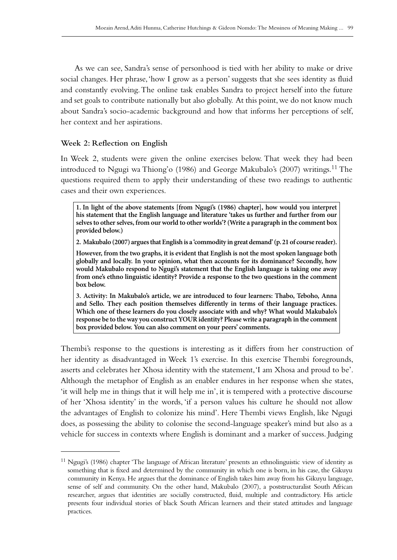As we can see, Sandra's sense of personhood is tied with her ability to make or drive social changes. Her phrase, 'how I grow as a person' suggests that she sees identity as fluid and constantly evolving. The online task enables Sandra to project herself into the future and set goals to contribute nationally but also globally. At this point, we do not know much about Sandra's socio-academic background and how that informs her perceptions of self, her context and her aspirations.

## **Week 2: Reflection on English**

In Week 2, students were given the online exercises below. That week they had been introduced to Ngugi wa Thiong'o (1986) and George Makubalo's (2007) writings.11 The questions required them to apply their understanding of these two readings to authentic cases and their own experiences.

**1. In light of the above statements [from Ngugi's (1986) chapter], how would you interpret his statement that the English language and literature 'takes us further and further from our selves to other selves, from our world to other worlds'? (Write a paragraph in the comment box provided below.)**

**2. Makubalo (2007) argues that English is a 'commodity in great demand' (p.21 of course reader).**

**However, from the two graphs, it is evident that English is not the most spoken language both globally and locally. In your opinion, what then accounts for its dominance? Secondly, how would Makubalo respond to Ngugi's statement that the English language is taking one away from one's ethno linguistic identity? Provide a response to the two questions in the comment box below.**

**3. Activity: In Makubalo's article, we are introduced to four learners: Thabo, Teboho, Anna and Sello. They each position themselves differently in terms of their language practices. Which one of these learners do you closely associate with and why? What would Makubalo's response be to the way you construct YOUR identity? Please write a paragraph in the comment box provided below. You can also comment on your peers' comments.**

Thembi's response to the questions is interesting as it differs from her construction of her identity as disadvantaged in Week 1's exercise. In this exercise Thembi foregrounds, asserts and celebrates her Xhosa identity with the statement, 'I am Xhosa and proud to be'. Although the metaphor of English as an enabler endures in her response when she states, 'it will help me in things that it will help me in', it is tempered with a protective discourse of her 'Xhosa identity' in the words, 'if a person values his culture he should not allow the advantages of English to colonize his mind'. Here Thembi views English, like Ngugi does, as possessing the ability to colonise the second-language speaker's mind but also as a vehicle for success in contexts where English is dominant and a marker of success. Judging

<sup>&</sup>lt;sup>11</sup> Ngugi's (1986) chapter 'The language of African literature' presents an ethnolinguistic view of identity as something that is fixed and determined by the community in which one is born, in his case, the Gikuyu community in Kenya. He argues that the dominance of English takes him away from his Gikuyu language, sense of self and community. On the other hand, Makubalo (2007), a poststructuralist South African researcher, argues that identities are socially constructed, fluid, multiple and contradictory. His article presents four individual stories of black South African learners and their stated attitudes and language practices.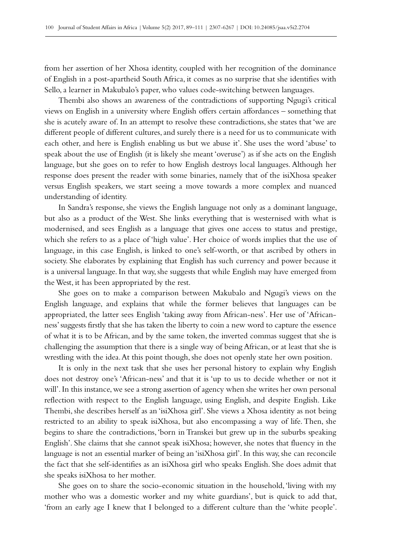from her assertion of her Xhosa identity, coupled with her recognition of the dominance of English in a post-apartheid South Africa, it comes as no surprise that she identifies with Sello, a learner in Makubalo's paper, who values code-switching between languages.

Thembi also shows an awareness of the contradictions of supporting Ngugi's critical views on English in a university where English offers certain affordances – something that she is acutely aware of. In an attempt to resolve these contradictions, she states that 'we are different people of different cultures, and surely there is a need for us to communicate with each other, and here is English enabling us but we abuse it'. She uses the word 'abuse' to speak about the use of English (it is likely she meant 'overuse') as if she acts on the English language, but she goes on to refer to how English destroys local languages. Although her response does present the reader with some binaries, namely that of the isiXhosa speaker versus English speakers, we start seeing a move towards a more complex and nuanced understanding of identity.

In Sandra's response, she views the English language not only as a dominant language, but also as a product of the West. She links everything that is westernised with what is modernised, and sees English as a language that gives one access to status and prestige, which she refers to as a place of 'high value'. Her choice of words implies that the use of language, in this case English, is linked to one's self-worth, or that ascribed by others in society. She elaborates by explaining that English has such currency and power because it is a universal language. In that way, she suggests that while English may have emerged from the West, it has been appropriated by the rest.

She goes on to make a comparison between Makubalo and Ngugi's views on the English language, and explains that while the former believes that languages can be appropriated, the latter sees English 'taking away from African-ness'. Her use of 'Africanness' suggests firstly that she has taken the liberty to coin a new word to capture the essence of what it is to be African, and by the same token, the inverted commas suggest that she is challenging the assumption that there is a single way of being African, or at least that she is wrestling with the idea. At this point though, she does not openly state her own position.

It is only in the next task that she uses her personal history to explain why English does not destroy one's 'African-ness' and that it is 'up to us to decide whether or not it will'. In this instance, we see a strong assertion of agency when she writes her own personal reflection with respect to the English language, using English, and despite English. Like Thembi, she describes herself as an 'isiXhosa girl'. She views a Xhosa identity as not being restricted to an ability to speak isiXhosa, but also encompassing a way of life. Then, she begins to share the contradictions, 'born in Transkei but grew up in the suburbs speaking English'. She claims that she cannot speak isiXhosa; however, she notes that fluency in the language is not an essential marker of being an 'isiXhosa girl'. In this way, she can reconcile the fact that she self-identifies as an isiXhosa girl who speaks English. She does admit that she speaks isiXhosa to her mother.

She goes on to share the socio-economic situation in the household, 'living with my mother who was a domestic worker and my white guardians', but is quick to add that, 'from an early age I knew that I belonged to a different culture than the 'white people'.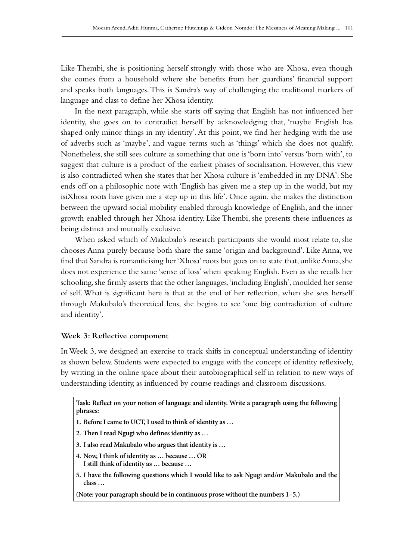Like Thembi, she is positioning herself strongly with those who are Xhosa, even though she comes from a household where she benefits from her guardians' financial support and speaks both languages. This is Sandra's way of challenging the traditional markers of language and class to define her Xhosa identity.

In the next paragraph, while she starts off saying that English has not influenced her identity, she goes on to contradict herself by acknowledging that, 'maybe English has shaped only minor things in my identity'. At this point, we find her hedging with the use of adverbs such as 'maybe', and vague terms such as 'things' which she does not qualify. Nonetheless, she still sees culture as something that one is 'born into' versus 'born with', to suggest that culture is a product of the earliest phases of socialisation. However, this view is also contradicted when she states that her Xhosa culture is 'embedded in my DNA'. She ends off on a philosophic note with 'English has given me a step up in the world, but my isiXhosa roots have given me a step up in this life'. Once again, she makes the distinction between the upward social mobility enabled through knowledge of English, and the inner growth enabled through her Xhosa identity. Like Thembi, she presents these influences as being distinct and mutually exclusive.

When asked which of Makubalo's research participants she would most relate to, she chooses Anna purely because both share the same 'origin and background'. Like Anna, we find that Sandra is romanticising her 'Xhosa' roots but goes on to state that, unlike Anna, she does not experience the same 'sense of loss' when speaking English. Even as she recalls her schooling, she firmly asserts that the other languages, 'including English', moulded her sense of self. What is significant here is that at the end of her reflection, when she sees herself through Makubalo's theoretical lens, she begins to see 'one big contradiction of culture and identity'.

# **Week 3: Reflective component**

In Week 3, we designed an exercise to track shifts in conceptual understanding of identity as shown below. Students were expected to engage with the concept of identity reflexively, by writing in the online space about their autobiographical self in relation to new ways of understanding identity, as influenced by course readings and classroom discussions.

**Task: Reflect on your notion of language and identity. Write a paragraph using the following phrases:**

**1. Before I came to UCT, I used to think of identity as …**

- **2. Then I read Ngugi who defines identity as …**
- **3. I also read Makubalo who argues that identity is …**
- **4. Now, I think of identity as … because … OR I still think of identity as … because …**
- **5. I have the following questions which I would like to ask Ngugi and/or Makubalo and the class …**

**(Note: your paragraph should be in continuous prose without the numbers 1–5.)**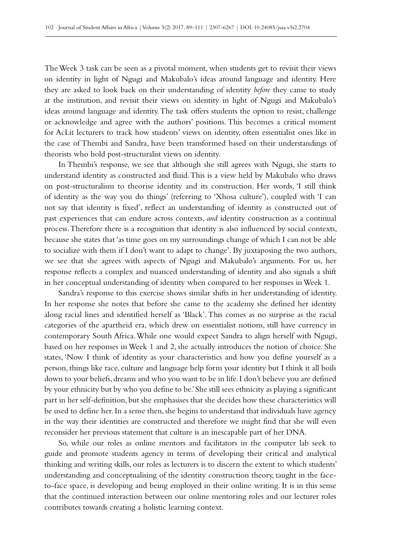The Week 3 task can be seen as a pivotal moment, when students get to revisit their views on identity in light of Ngugi and Makubalo's ideas around language and identity. Here they are asked to look back on their understanding of identity *before* they came to study at the institution, and revisit their views on identity in light of Ngugi and Makubalo's ideas around language and identity. The task offers students the option to resist, challenge or acknowledge and agree with the authors' positions. This becomes a critical moment for AcLit lecturers to track how students' views on identity, often essentialist ones like in the case of Thembi and Sandra, have been transformed based on their understandings of theorists who hold post-structuralist views on identity.

In Thembi's response, we see that although she still agrees with Ngugi, she starts to understand identity as constructed and fluid. This is a view held by Makubalo who draws on post-structuralism to theorise identity and its construction. Her words, 'I still think of identity as the way you do things' (referring to 'Xhosa culture'), coupled with 'I can not say that identity is fixed', reflect an understanding of identity as constructed out of past experiences that can endure across contexts, *and* identity construction as a continual process. Therefore there is a recognition that identity is also influenced by social contexts, because she states that 'as time goes on my surroundings change of which I can not be able to socialize with them if I don't want to adapt to change'. By juxtaposing the two authors, we see that she agrees with aspects of Ngugi and Makubalo's arguments. For us, her response reflects a complex and nuanced understanding of identity and also signals a shift in her conceptual understanding of identity when compared to her responses in Week 1.

Sandra's response to this exercise shows similar shifts in her understanding of identity. In her response she notes that before she came to the academy she defined her identity along racial lines and identified herself as 'Black'. This comes as no surprise as the racial categories of the apartheid era, which drew on essentialist notions, still have currency in contemporary South Africa. While one would expect Sandra to align herself with Ngugi, based on her responses in Week 1 and 2, she actually introduces the notion of choice. She states, 'Now I think of identity as your characteristics and how you define yourself as a person, things like race, culture and language help form your identity but I think it all boils down to your beliefs, dreams and who you want to be in life. I don't believe you are defined by your ethnicity but by who you define to be.' She still sees ethnicity as playing a significant part in her self-definition, but she emphasises that she decides how these characteristics will be used to define her. In a sense then, she begins to understand that individuals have agency in the way their identities are constructed and therefore we might find that she will even reconsider her previous statement that culture is an inescapable part of her DNA.

So, while our roles as online mentors and facilitators in the computer lab seek to guide and promote students agency in terms of developing their critical and analytical thinking and writing skills, our roles as lecturers is to discern the extent to which students' understanding and conceptualising of the identity construction theory, taught in the faceto-face space, is developing and being employed in their online writing. It is in this sense that the continued interaction between our online mentoring roles and our lecturer roles contributes towards creating a holistic learning context.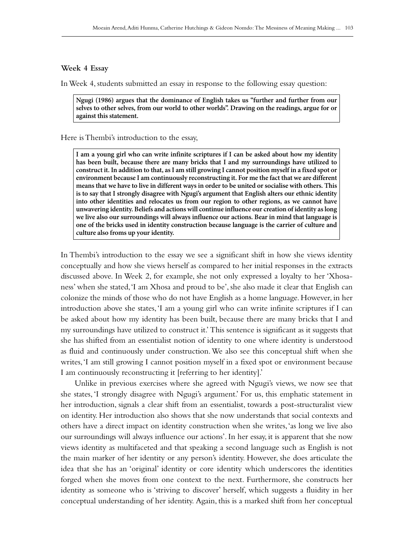#### **Week 4 Essay**

In Week 4, students submitted an essay in response to the following essay question:

**Ngugi (1986) argues that the dominance of English takes us "further and further from our selves to other selves, from our world to other worlds". Drawing on the readings, argue for or against this statement.**

Here is Thembi's introduction to the essay,

**I am a young girl who can write infinite scriptures if I can be asked about how my identity has been built, because there are many bricks that I and my surroundings have utilized to construct it. In addition to that, as I am still growing I cannot position myself in a fixed spot or environment because I am continuously reconstructing it. For me the fact that we are different means that we have to live in different ways in order to be united or socialise with others. This is to say that I strongly disagree with Ngugi's argument that English alters our ethnic identity into other identities and relocates us from our region to other regions, as we cannot have unwavering identity. Beliefs and actions will continue influence our creation of identity as long we live also our surroundings will always influence our actions. Bear in mind that language is one of the bricks used in identity construction because language is the carrier of culture and culture also froms up your identity.**

In Thembi's introduction to the essay we see a significant shift in how she views identity conceptually and how she views herself as compared to her initial responses in the extracts discussed above. In Week 2, for example, she not only expressed a loyalty to her 'Xhosaness' when she stated, 'I am Xhosa and proud to be', she also made it clear that English can colonize the minds of those who do not have English as a home language. However, in her introduction above she states, 'I am a young girl who can write infinite scriptures if I can be asked about how my identity has been built, because there are many bricks that I and my surroundings have utilized to construct it.' This sentence is significant as it suggests that she has shifted from an essentialist notion of identity to one where identity is understood as fluid and continuously under construction. We also see this conceptual shift when she writes, 'I am still growing I cannot position myself in a fixed spot or environment because I am continuously reconstructing it [referring to her identity].'

Unlike in previous exercises where she agreed with Ngugi's views, we now see that she states, 'I strongly disagree with Ngugi's argument.' For us, this emphatic statement in her introduction, signals a clear shift from an essentialist, towards a post-structuralist view on identity. Her introduction also shows that she now understands that social contexts and others have a direct impact on identity construction when she writes, 'as long we live also our surroundings will always influence our actions'. In her essay, it is apparent that she now views identity as multifaceted and that speaking a second language such as English is not the main marker of her identity or any person's identity. However, she does articulate the idea that she has an 'original' identity or core identity which underscores the identities forged when she moves from one context to the next. Furthermore, she constructs her identity as someone who is 'striving to discover' herself, which suggests a fluidity in her conceptual understanding of her identity. Again, this is a marked shift from her conceptual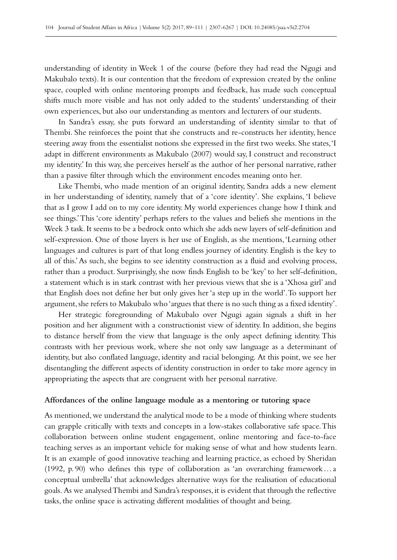understanding of identity in Week 1 of the course (before they had read the Ngugi and Makubalo texts). It is our contention that the freedom of expression created by the online space, coupled with online mentoring prompts and feedback, has made such conceptual shifts much more visible and has not only added to the students' understanding of their own experiences, but also our understanding as mentors and lecturers of our students.

In Sandra's essay, she puts forward an understanding of identity similar to that of Thembi. She reinforces the point that she constructs and re-constructs her identity, hence steering away from the essentialist notions she expressed in the first two weeks. She states, 'I adapt in different environments as Makubalo (2007) would say, I construct and reconstruct my identity.' In this way, she perceives herself as the author of her personal narrative, rather than a passive filter through which the environment encodes meaning onto her.

Like Thembi, who made mention of an original identity, Sandra adds a new element in her understanding of identity, namely that of a 'core identity'. She explains, 'I believe that as I grow I add on to my core identity. My world experiences change how I think and see things.' This 'core identity' perhaps refers to the values and beliefs she mentions in the Week 3 task. It seems to be a bedrock onto which she adds new layers of self-definition and self-expression. One of those layers is her use of English, as she mentions, 'Learning other languages and cultures is part of that long endless journey of identity. English is the key to all of this.' As such, she begins to see identity construction as a fluid and evolving process, rather than a product. Surprisingly, she now finds English to be 'key' to her self-definition, a statement which is in stark contrast with her previous views that she is a 'Xhosa girl' and that English does not define her but only gives her 'a step up in the world'. To support her argument, she refers to Makubalo who 'argues that there is no such thing as a fixed identity'.

Her strategic foregrounding of Makubalo over Ngugi again signals a shift in her position and her alignment with a constructionist view of identity. In addition, she begins to distance herself from the view that language is the only aspect defining identity. This contrasts with her previous work, where she not only saw language as a determinant of identity, but also conflated language, identity and racial belonging. At this point, we see her disentangling the different aspects of identity construction in order to take more agency in appropriating the aspects that are congruent with her personal narrative.

### **Affordances of the online language module as a mentoring or tutoring space**

As mentioned, we understand the analytical mode to be a mode of thinking where students can grapple critically with texts and concepts in a low-stakes collaborative safe space. This collaboration between online student engagement, online mentoring and face-to-face teaching serves as an important vehicle for making sense of what and how students learn. It is an example of good innovative teaching and learning practice, as echoed by Sheridan (1992, p. 90) who defines this type of collaboration as 'an overarching framework…a conceptual umbrella' that acknowledges alternative ways for the realisation of educational goals. As we analysed Thembi and Sandra's responses, it is evident that through the reflective tasks, the online space is activating different modalities of thought and being.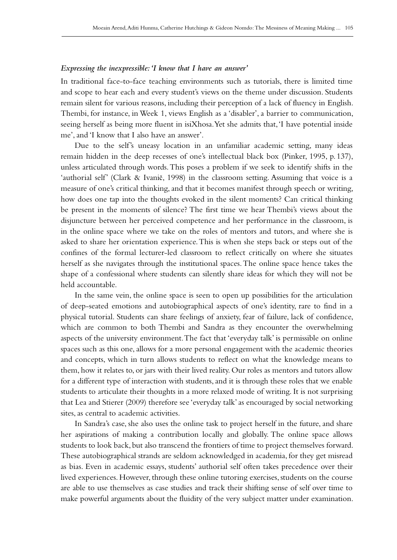#### *Expressing the inexpressible: 'I know that I have an answer'*

In traditional face-to-face teaching environments such as tutorials, there is limited time and scope to hear each and every student's views on the theme under discussion. Students remain silent for various reasons, including their perception of a lack of fluency in English. Thembi, for instance, in Week 1, views English as a 'disabler', a barrier to communication, seeing herself as being more fluent in isiXhosa. Yet she admits that, 'I have potential inside me', and 'I know that I also have an answer'.

Due to the self's uneasy location in an unfamiliar academic setting, many ideas remain hidden in the deep recesses of one's intellectual black box (Pinker, 1995, p. 137), unless articulated through words. This poses a problem if we seek to identify shifts in the 'authorial self' (Clark & Ivanič, 1998) in the classroom setting. Assuming that voice is a measure of one's critical thinking, and that it becomes manifest through speech or writing, how does one tap into the thoughts evoked in the silent moments? Can critical thinking be present in the moments of silence? The first time we hear Thembi's views about the disjuncture between her perceived competence and her performance in the classroom, is in the online space where we take on the roles of mentors and tutors, and where she is asked to share her orientation experience. This is when she steps back or steps out of the confines of the formal lecturer-led classroom to reflect critically on where she situates herself as she navigates through the institutional spaces. The online space hence takes the shape of a confessional where students can silently share ideas for which they will not be held accountable.

In the same vein, the online space is seen to open up possibilities for the articulation of deep-seated emotions and autobiographical aspects of one's identity, rare to find in a physical tutorial. Students can share feelings of anxiety, fear of failure, lack of confidence, which are common to both Thembi and Sandra as they encounter the overwhelming aspects of the university environment. The fact that 'everyday talk' is permissible on online spaces such as this one, allows for a more personal engagement with the academic theories and concepts, which in turn allows students to reflect on what the knowledge means to them, how it relates to, or jars with their lived reality. Our roles as mentors and tutors allow for a different type of interaction with students, and it is through these roles that we enable students to articulate their thoughts in a more relaxed mode of writing. It is not surprising that Lea and Stierer (2009) therefore see 'everyday talk' as encouraged by social networking sites, as central to academic activities.

In Sandra's case, she also uses the online task to project herself in the future, and share her aspirations of making a contribution locally and globally. The online space allows students to look back, but also transcend the frontiers of time to project themselves forward. These autobiographical strands are seldom acknowledged in academia, for they get misread as bias. Even in academic essays, students' authorial self often takes precedence over their lived experiences. However, through these online tutoring exercises, students on the course are able to use themselves as case studies and track their shifting sense of self over time to make powerful arguments about the fluidity of the very subject matter under examination.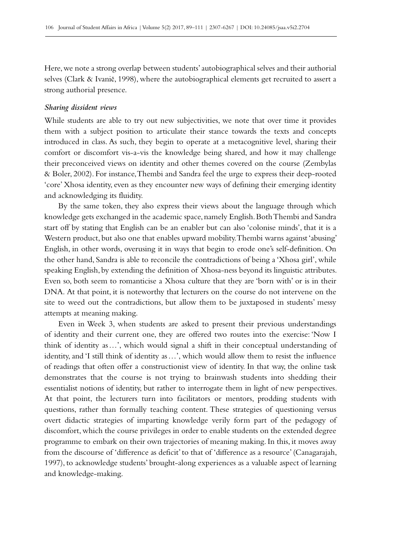Here, we note a strong overlap between students' autobiographical selves and their authorial selves (Clark & Ivanič, 1998), where the autobiographical elements get recruited to assert a strong authorial presence.

#### *Sharing dissident views*

While students are able to try out new subjectivities, we note that over time it provides them with a subject position to articulate their stance towards the texts and concepts introduced in class. As such, they begin to operate at a metacognitive level, sharing their comfort or discomfort vis-a-vis the knowledge being shared, and how it may challenge their preconceived views on identity and other themes covered on the course (Zembylas & Boler, 2002). For instance, Thembi and Sandra feel the urge to express their deep-rooted 'core' Xhosa identity, even as they encounter new ways of defining their emerging identity and acknowledging its fluidity.

By the same token, they also express their views about the language through which knowledge gets exchanged in the academic space, namely English. Both Thembi and Sandra start off by stating that English can be an enabler but can also 'colonise minds', that it is a Western product, but also one that enables upward mobility. Thembi warns against 'abusing' English, in other words, overusing it in ways that begin to erode one's self-definition. On the other hand, Sandra is able to reconcile the contradictions of being a 'Xhosa girl', while speaking English, by extending the definition of Xhosa-ness beyond its linguistic attributes. Even so, both seem to romanticise a Xhosa culture that they are 'born with' or is in their DNA. At that point, it is noteworthy that lecturers on the course do not intervene on the site to weed out the contradictions, but allow them to be juxtaposed in students' messy attempts at meaning making.

Even in Week 3, when students are asked to present their previous understandings of identity and their current one, they are offered two routes into the exercise: 'Now I think of identity as…', which would signal a shift in their conceptual understanding of identity, and 'I still think of identity as…', which would allow them to resist the influence of readings that often offer a constructionist view of identity. In that way, the online task demonstrates that the course is not trying to brainwash students into shedding their essentialist notions of identity, but rather to interrogate them in light of new perspectives. At that point, the lecturers turn into facilitators or mentors, prodding students with questions, rather than formally teaching content. These strategies of questioning versus overt didactic strategies of imparting knowledge verily form part of the pedagogy of discomfort, which the course privileges in order to enable students on the extended degree programme to embark on their own trajectories of meaning making. In this, it moves away from the discourse of 'difference as deficit' to that of 'difference as a resource' (Canagarajah, 1997), to acknowledge students' brought-along experiences as a valuable aspect of learning and knowledge-making.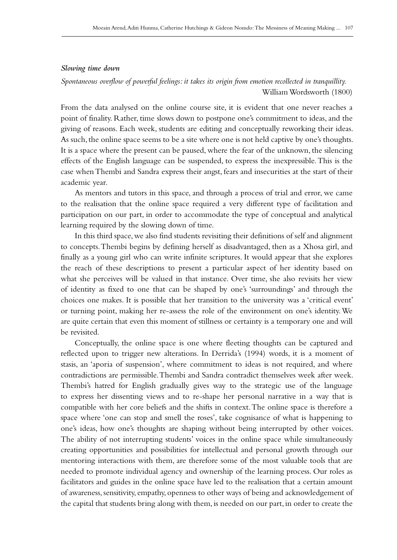#### *Slowing time down*

*Spontaneous overflow of powerful feelings: it takes its origin from emotion recollected in tranquillity.* William Wordsworth (1800)

From the data analysed on the online course site, it is evident that one never reaches a point of finality. Rather, time slows down to postpone one's commitment to ideas, and the giving of reasons. Each week, students are editing and conceptually reworking their ideas. As such, the online space seems to be a site where one is not held captive by one's thoughts. It is a space where the present can be paused, where the fear of the unknown, the silencing effects of the English language can be suspended, to express the inexpressible. This is the case when Thembi and Sandra express their angst, fears and insecurities at the start of their academic year.

As mentors and tutors in this space, and through a process of trial and error, we came to the realisation that the online space required a very different type of facilitation and participation on our part, in order to accommodate the type of conceptual and analytical learning required by the slowing down of time.

In this third space, we also find students revisiting their definitions of self and alignment to concepts. Thembi begins by defining herself as disadvantaged, then as a Xhosa girl, and finally as a young girl who can write infinite scriptures. It would appear that she explores the reach of these descriptions to present a particular aspect of her identity based on what she perceives will be valued in that instance. Over time, she also revisits her view of identity as fixed to one that can be shaped by one's 'surroundings' and through the choices one makes. It is possible that her transition to the university was a 'critical event' or turning point, making her re-assess the role of the environment on one's identity. We are quite certain that even this moment of stillness or certainty is a temporary one and will be revisited.

Conceptually, the online space is one where fleeting thoughts can be captured and reflected upon to trigger new alterations. In Derrida's (1994) words, it is a moment of stasis, an 'aporia of suspension', where commitment to ideas is not required, and where contradictions are permissible. Thembi and Sandra contradict themselves week after week. Thembi's hatred for English gradually gives way to the strategic use of the language to express her dissenting views and to re-shape her personal narrative in a way that is compatible with her core beliefs and the shifts in context. The online space is therefore a space where 'one can stop and smell the roses', take cognisance of what is happening to one's ideas, how one's thoughts are shaping without being interrupted by other voices. The ability of not interrupting students' voices in the online space while simultaneously creating opportunities and possibilities for intellectual and personal growth through our mentoring interactions with them, are therefore some of the most valuable tools that are needed to promote individual agency and ownership of the learning process. Our roles as facilitators and guides in the online space have led to the realisation that a certain amount of awareness, sensitivity, empathy, openness to other ways of being and acknowledgement of the capital that students bring along with them, is needed on our part, in order to create the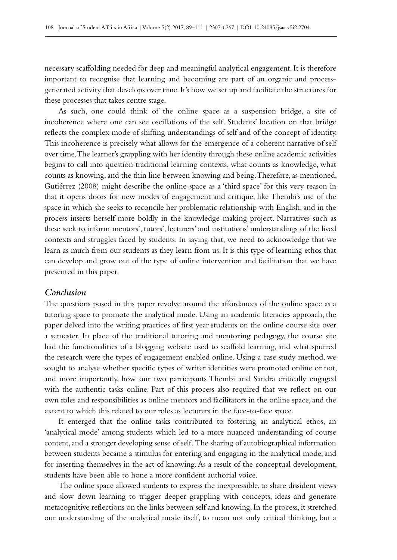necessary scaffolding needed for deep and meaningful analytical engagement. It is therefore important to recognise that learning and becoming are part of an organic and processgenerated activity that develops over time. It's how we set up and facilitate the structures for these processes that takes centre stage.

As such, one could think of the online space as a suspension bridge, a site of incoherence where one can see oscillations of the self. Students' location on that bridge reflects the complex mode of shifting understandings of self and of the concept of identity. This incoherence is precisely what allows for the emergence of a coherent narrative of self over time. The learner's grappling with her identity through these online academic activities begins to call into question traditional learning contexts, what counts as knowledge, what counts as knowing, and the thin line between knowing and being. Therefore, as mentioned, Gutiérrez (2008) might describe the online space as a 'third space' for this very reason in that it opens doors for new modes of engagement and critique, like Thembi's use of the space in which she seeks to reconcile her problematic relationship with English, and in the process inserts herself more boldly in the knowledge-making project. Narratives such as these seek to inform mentors', tutors', lecturers' and institutions' understandings of the lived contexts and struggles faced by students. In saying that, we need to acknowledge that we learn as much from our students as they learn from us. It is this type of learning ethos that can develop and grow out of the type of online intervention and facilitation that we have presented in this paper.

## *Conclusion*

The questions posed in this paper revolve around the affordances of the online space as a tutoring space to promote the analytical mode. Using an academic literacies approach, the paper delved into the writing practices of first year students on the online course site over a semester. In place of the traditional tutoring and mentoring pedagogy, the course site had the functionalities of a blogging website used to scaffold learning, and what spurred the research were the types of engagement enabled online. Using a case study method, we sought to analyse whether specific types of writer identities were promoted online or not, and more importantly, how our two participants Thembi and Sandra critically engaged with the authentic tasks online. Part of this process also required that we reflect on our own roles and responsibilities as online mentors and facilitators in the online space, and the extent to which this related to our roles as lecturers in the face-to-face space.

It emerged that the online tasks contributed to fostering an analytical ethos, an 'analytical mode' among students which led to a more nuanced understanding of course content, and a stronger developing sense of self. The sharing of autobiographical information between students became a stimulus for entering and engaging in the analytical mode, and for inserting themselves in the act of knowing. As a result of the conceptual development, students have been able to hone a more confident authorial voice.

The online space allowed students to express the inexpressible, to share dissident views and slow down learning to trigger deeper grappling with concepts, ideas and generate metacognitive reflections on the links between self and knowing. In the process, it stretched our understanding of the analytical mode itself, to mean not only critical thinking, but a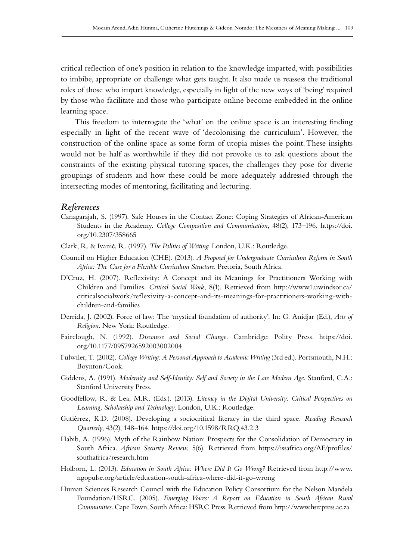critical reflection of one's position in relation to the knowledge imparted, with possibilities to imbibe, appropriate or challenge what gets taught. It also made us reassess the traditional roles of those who impart knowledge, especially in light of the new ways of 'being' required by those who facilitate and those who participate online become embedded in the online learning space.

This freedom to interrogate the 'what' on the online space is an interesting finding especially in light of the recent wave of 'decolonising the curriculum'. However, the construction of the online space as some form of utopia misses the point. These insights would not be half as worthwhile if they did not provoke us to ask questions about the constraints of the existing physical tutoring spaces, the challenges they pose for diverse groupings of students and how these could be more adequately addressed through the intersecting modes of mentoring, facilitating and lecturing.

### *References*

- Canagarajah, S. (1997). Safe Houses in the Contact Zone: Coping Strategies of African-American Students in the Academy. *College Composition and Communication*, 48(2), 173–196. [https://doi.](https://doi.org/10.2307/358665) [org/10.2307/358665](https://doi.org/10.2307/358665)
- Clark, R. & Ivanič, R. (1997). *The Politics of Writing*. London, U.K.: Routledge.
- Council on Higher Education (CHE). (2013). *A Proposal for Undergraduate Curriculum Reform in South Africa: The Case for a Flexible Curriculum Structure*. Pretoria, South Africa.
- D'Cruz, H. (2007). Reflexivity: A Concept and its Meanings for Practitioners Working with Children and Families. *Critical Social Work*, 8(1). Retrieved from [http://www1.uwindsor.ca/](http://www1.uwindsor.ca/criticalsocialwork/reflexivity-a-concept-and-its-meanings-for-practitioners-working-with-children-and-families) [criticalsocialwork/reflexivity-a-concept-and-its-meanings-for-practitioners-working-with](http://www1.uwindsor.ca/criticalsocialwork/reflexivity-a-concept-and-its-meanings-for-practitioners-working-with-children-and-families)[children-and-families](http://www1.uwindsor.ca/criticalsocialwork/reflexivity-a-concept-and-its-meanings-for-practitioners-working-with-children-and-families)
- Derrida, J. (2002). Force of law: The 'mystical foundation of authority'. In: G. Anidjar (Ed.), *Acts of Religion*. New York: Routledge.
- Fairclough, N. (1992). *Discourse and Social Change*. Cambridge: Polity Press. [https://doi.](https://doi.org/10.1177/0957926592003002004) [org/10.1177/0957926592003002004](https://doi.org/10.1177/0957926592003002004)
- Fulwiler, T. (2002). *College Writing: A Personal Approach to Academic Writing* (3rd ed.). Portsmouth, N.H.: Boynton/Cook.
- Giddens, A. (1991). *Modernity and Self-Identity: Self and Society in the Late Modern Age*. Stanford, C.A.: Stanford University Press.
- Goodfellow, R. & Lea, M.R. (Eds.). (2013). *Literacy in the Digital University: Critical Perspectives on Learning, Scholarship and Technology*. London, U.K.: Routledge.
- Gutiérrez, K.D. (2008). Developing a sociocritical literacy in the third space. *Reading Research Quarterly*, 43(2), 148–164.<https://doi.org/10.1598/RRQ.43.2.3>
- Habib, A. (1996). Myth of the Rainbow Nation: Prospects for the Consolidation of Democracy in South Africa. *African Security Review*, 5(6). Retrieved from [https://issafrica.org/AF/profiles/](https://issafrica.org/AF/profiles/southafrica/research.htm) [southafrica/research.htm](https://issafrica.org/AF/profiles/southafrica/research.htm)
- Holborn, L. (2013). *Education in South Africa: Where Did It Go Wrong?* Retrieved from [http://www.](http://www.ngopulse.org/article/education-south-africa-where-did-it-go-wrong) [ngopulse.org/article/education-south-africa-where-did-it-go-wrong](http://www.ngopulse.org/article/education-south-africa-where-did-it-go-wrong)
- Human Sciences Research Council with the Education Policy Consortium for the Nelson Mandela Foundation/HSRC. (2005). *Emerging Voices: A Report on Education in South African Rural Communities*. Cape Town, South Africa: HSRC Press. Retrieved from<http://www.hsrcpress.ac.za>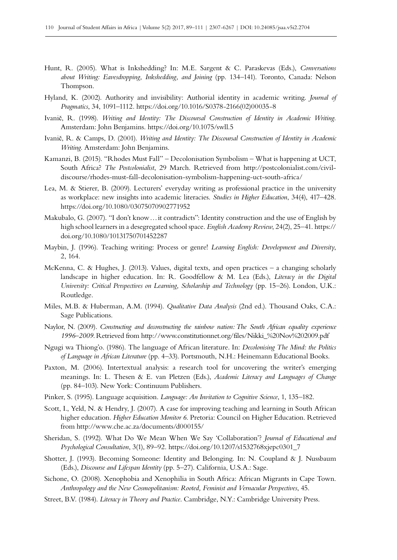- Hunt, R. (2005). What is Inkshedding? In: M.E. Sargent & C. Paraskevas (Eds.), *Conversations about Writing: Eavesdropping, Inkshedding, and Joining* (pp. 134–141). Toronto, Canada: Nelson Thompson.
- Hyland, K. (2002). Authority and invisibility: Authorial identity in academic writing. *Journal of Pragmatics*, 34, 1091–1112. [https://doi.org/10.1016/S0378-2166\(02\)00035-8](https://doi.org/10.1016/S0378-2166(02)00035-8)
- Ivanič, R. (1998). *Writing and Identity: The Discoursal Construction of Identity in Academic Writing.* Amsterdam: John Benjamins.<https://doi.org/10.1075/swll.5>
- Ivanič, R. & Camps, D. (2001). *Writing and Identity: The Discoursal Construction of Identity in Academic Writing.* Amsterdam: John Benjamins.
- Kamanzi, B. (2015). "Rhodes Must Fall" Decolonisation Symbolism What is happening at UCT, South Africa? *The Postcolonialist*, 29 March. Retrieved from [http://postcolonialist.com/civil](http://postcolonialist.com/civil-discourse/rhodes-must-fall-decolonisation-symbolism-happening-uct-south-africa/)[discourse/rhodes-must-fall-decolonisation-symbolism-happening-uct-south-africa/](http://postcolonialist.com/civil-discourse/rhodes-must-fall-decolonisation-symbolism-happening-uct-south-africa/)
- Lea, M. & Stierer, B. (2009). Lecturers' everyday writing as professional practice in the university as workplace: new insights into academic literacies. *Studies in Higher Education*, 34(4), 417–428. <https://doi.org/10.1080/03075070902771952>
- Makubalo, G. (2007). "I don't know…it contradicts": Identity construction and the use of English by high school learners in a desegregated school space. *English Academy Review*, 24(2), 25–41. [https://](https://doi.org/10.1080/10131750701452287) [doi.org/10.1080/10131750701452287](https://doi.org/10.1080/10131750701452287)
- Maybin, J. (1996). Teaching writing: Process or genre! *Learning English: Development and Diversity*, 2, 164.
- McKenna, C. & Hughes, J. (2013). Values, digital texts, and open practices a changing scholarly landscape in higher education. In: R. Goodfellow & M. Lea (Eds.), *Literacy in the Digital University: Critical Perspectives on Learning, Scholarship and Technology* (pp. 15–26). London, U.K.: Routledge.
- Miles, M.B. & Huberman, A.M. (1994). *Qualitative Data Analysis* (2nd ed.). Thousand Oaks, C.A.: Sage Publications.
- Naylor, N. (2009). *Constructing and deconstructing the rainbow nation: The South African equality experience 1996–2009*. Retrieved from [http://www.constitutionnet.org/files/Nikki\\_%20Nov%202009.pdf](http://www.constitutionnet.org/files/Nikki_%20Nov%202009.pdf)
- Ngugi wa Thiong'o. (1986). The language of African literature. In: *Decolonising The Mind: the Politics of Language in African Literature* (pp. 4–33). Portsmouth, N.H.: Heinemann Educational Books.
- Paxton, M. (2006). Intertextual analysis: a research tool for uncovering the writer's emerging meanings. In: L. Thesen & E. van Pletzen (Eds.), *Academic Literacy and Languages of Change*  (pp. 84–103). New York: Continuum Publishers.
- Pinker, S. (1995). Language acquisition. *Language: An Invitation to Cognitive Science*, 1, 135–182.
- Scott, I., Yeld, N. & Hendry, J. (2007). A case for improving teaching and learning in South African higher education. *Higher Education Monitor 6*. Pretoria: Council on Higher Education. Retrieved from<http://www.che.ac.za/documents/d000155/>
- Sheridan, S. (1992). What Do We Mean When We Say 'Collaboration'? *Journal of Educational and Psychological Consultation*, 3(1), 89–92. [https://doi.org/10.1207/s1532768xjepc0301\\_7](https://doi.org/10.1207/s1532768xjepc0301_7)
- Shotter, J. (1993). Becoming Someone: Identity and Belonging. In: N. Coupland & J. Nussbaum (Eds.), *Discourse and Lifespan Identity* (pp. 5–27). California, U.S.A.: Sage.
- Sichone, O. (2008). Xenophobia and Xenophilia in South Africa: African Migrants in Cape Town. *Anthropology and the New Cosmopolitanism: Rooted, Feminist and Vernacular Perspectives*, 45.
- Street, B.V. (1984). *Literacy in Theory and Practice*. Cambridge, N.Y.: Cambridge University Press.